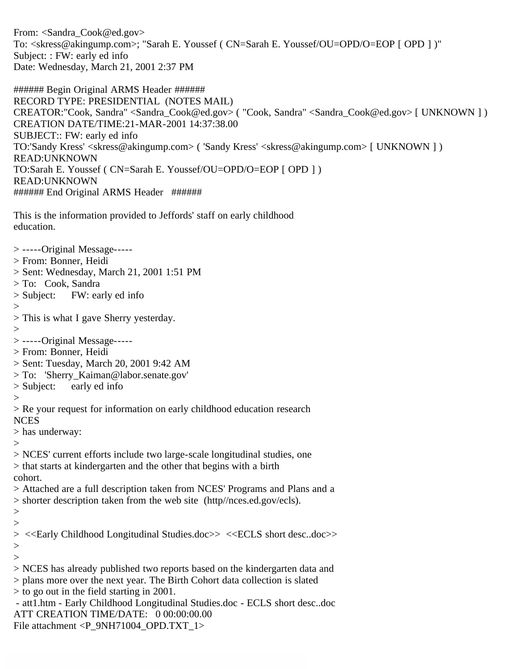From: <Sandra\_Cook@ed.gov> To: <skress@akingump.com>; "Sarah E. Youssef ( CN=Sarah E. Youssef/OU=OPD/O=EOP [ OPD ] )" Subject: : FW: early ed info Date: Wednesday, March 21, 2001 2:37 PM

###### Begin Original ARMS Header ###### RECORD TYPE: PRESIDENTIAL (NOTES MAIL) CREATOR:"Cook, Sandra" <Sandra\_Cook@ed.gov> ( "Cook, Sandra" <Sandra\_Cook@ed.gov> [ UNKNOWN ] ) CREATION DATE/TIME:21-MAR-2001 14:37:38.00 SUBJECT:: FW: early ed info TO:'Sandy Kress' <skress@akingump.com> ( 'Sandy Kress' <skress@akingump.com> [ UNKNOWN ] ) READ:UNKNOWN TO:Sarah E. Youssef ( CN=Sarah E. Youssef/OU=OPD/O=EOP [ OPD ] ) READ:UNKNOWN ###### End Original ARMS Header ######

This is the information provided to Jeffords' staff on early childhood education.

> -----Original Message----- > From: Bonner, Heidi > Sent: Wednesday, March 21, 2001 1:51 PM > To: Cook, Sandra > Subject: FW: early ed info  $\,>$ > This is what I gave Sherry yesterday. > > -----Original Message----- > From: Bonner, Heidi > Sent: Tuesday, March 20, 2001 9:42 AM > To: 'Sherry\_Kaiman@labor.senate.gov' > Subject: early ed info  $>$ > Re your request for information on early childhood education research NCES > has underway:  $>$ > NCES' current efforts include two large-scale longitudinal studies, one > that starts at kindergarten and the other that begins with a birth cohort. > Attached are a full description taken from NCES' Programs and Plans and a > shorter description taken from the web site (http//nces.ed.gov/ecls).  $>$ > > <<Early Childhood Longitudinal Studies.doc>> <<ECLS short desc..doc>> >  $>$ > NCES has already published two reports based on the kindergarten data and > plans more over the next year. The Birth Cohort data collection is slated > to go out in the field starting in 2001. - att1.htm - Early Childhood Longitudinal Studies.doc - ECLS short desc..doc ATT CREATION TIME/DATE: 0 00:00:00.00

File attachment <P\_9NH71004\_OPD.TXT\_1>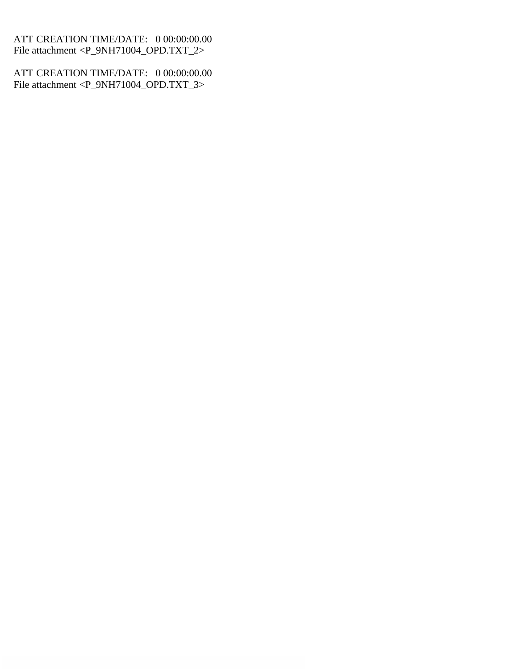ATT CREATION TIME/DATE: 0 00:00:00.00 File attachment <P\_9NH71004\_OPD.TXT\_2>

ATT CREATION TIME/DATE: 0 00:00:00.00 File attachment <P\_9NH71004\_OPD.TXT\_3>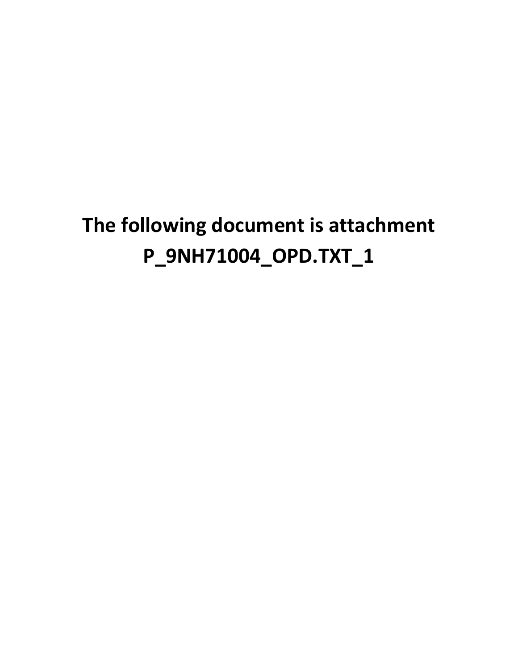# **The following document is attachment P\_9NH71004\_OPD.TXT\_1**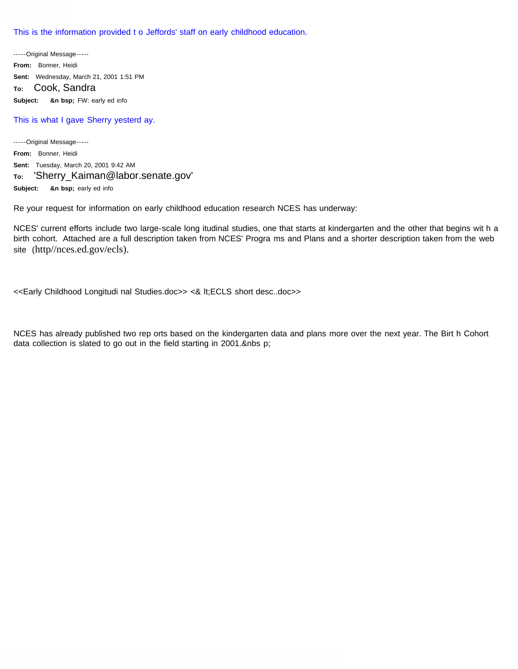This is the information provided t o Jeffords' staff on early childhood education.

-----Original Message----- **From:** Bonner, Heidi **Sent:** Wednesday, March 21, 2001 1:51 PM **To:** Cook, Sandra **Subject: &n bsp;** FW: early ed info

#### This is what I gave Sherry yesterd ay.

-----Original Message----- **From:** Bonner, Heidi **Sent:** Tuesday, March 20, 2001 9:42 AM **To:** 'Sherry\_Kaiman@labor.senate.gov' **Subject: &n bsp;** early ed info

Re your request for information on early childhood education research NCES has underway:

NCES' current efforts include two large-scale long itudinal studies, one that starts at kindergarten and the other that begins wit h a birth cohort. Attached are a full description taken from NCES' Progra ms and Plans and a shorter description taken from the web site (http//nces.ed.gov/ecls).

<<Early Childhood Longitudi nal Studies.doc>> <& lt;ECLS short desc..doc>>

NCES has already published two rep orts based on the kindergarten data and plans more over the next year. The Birt h Cohort data collection is slated to go out in the field starting in 2001.&nbs p;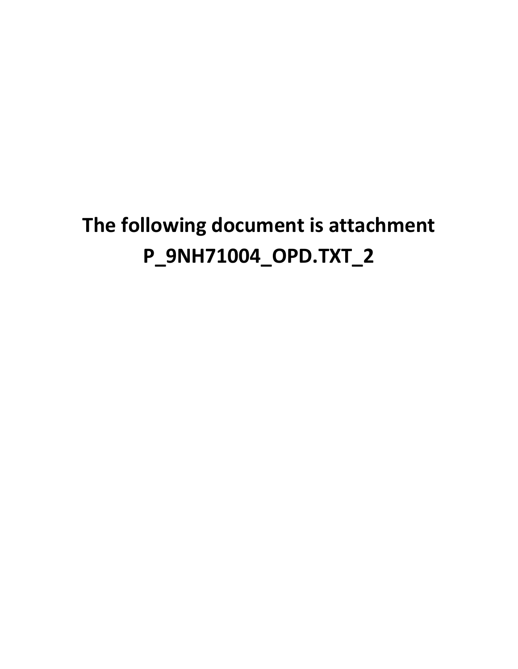# **The following document is attachment P\_9NH71004\_OPD.TXT\_2**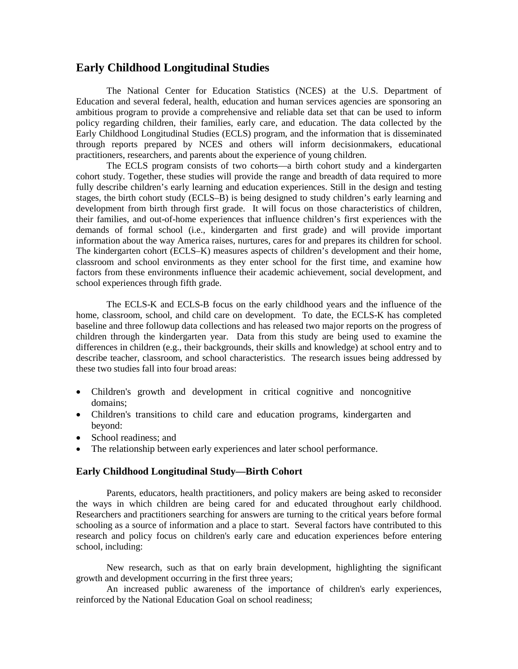# **Early Childhood Longitudinal Studies**

The National Center for Education Statistics (NCES) at the U.S. Department of Education and several federal, health, education and human services agencies are sponsoring an ambitious program to provide a comprehensive and reliable data set that can be used to inform policy regarding children, their families, early care, and education. The data collected by the Early Childhood Longitudinal Studies (ECLS) program, and the information that is disseminated through reports prepared by NCES and others will inform decisionmakers, educational practitioners, researchers, and parents about the experience of young children.

The ECLS program consists of two cohorts—a birth cohort study and a kindergarten cohort study. Together, these studies will provide the range and breadth of data required to more fully describe children's early learning and education experiences. Still in the design and testing stages, the birth cohort study (ECLS–B) is being designed to study children's early learning and development from birth through first grade. It will focus on those characteristics of children, their families, and out-of-home experiences that influence children's first experiences with the demands of formal school (i.e., kindergarten and first grade) and will provide important information about the way America raises, nurtures, cares for and prepares its children for school. The kindergarten cohort (ECLS–K) measures aspects of children's development and their home, classroom and school environments as they enter school for the first time, and examine how factors from these environments influence their academic achievement, social development, and school experiences through fifth grade.

The ECLS-K and ECLS-B focus on the early childhood years and the influence of the home, classroom, school, and child care on development. To date, the ECLS-K has completed baseline and three followup data collections and has released two major reports on the progress of children through the kindergarten year. Data from this study are being used to examine the differences in children (e.g., their backgrounds, their skills and knowledge) at school entry and to describe teacher, classroom, and school characteristics. The research issues being addressed by these two studies fall into four broad areas:

- Children's growth and development in critical cognitive and noncognitive domains;
- Children's transitions to child care and education programs, kindergarten and beyond:
- School readiness: and
- The relationship between early experiences and later school performance.

## **Early Childhood Longitudinal Study—Birth Cohort**

Parents, educators, health practitioners, and policy makers are being asked to reconsider the ways in which children are being cared for and educated throughout early childhood. Researchers and practitioners searching for answers are turning to the critical years before formal schooling as a source of information and a place to start. Several factors have contributed to this research and policy focus on children's early care and education experiences before entering school, including:

New research, such as that on early brain development, highlighting the significant growth and development occurring in the first three years;

An increased public awareness of the importance of children's early experiences, reinforced by the National Education Goal on school readiness;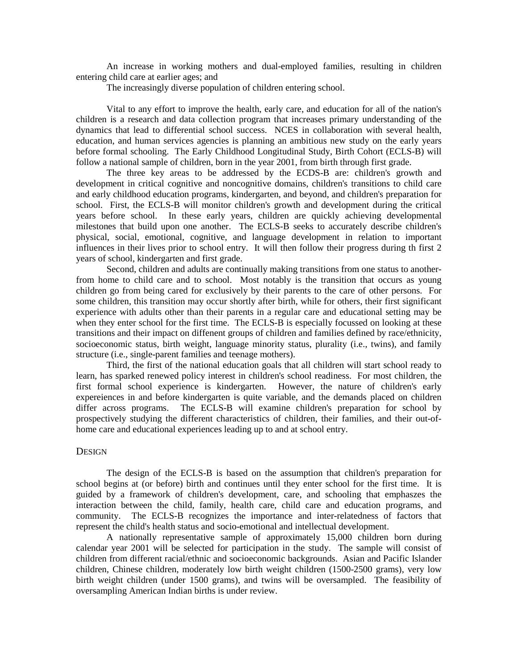An increase in working mothers and dual-employed families, resulting in children entering child care at earlier ages; and

The increasingly diverse population of children entering school.

Vital to any effort to improve the health, early care, and education for all of the nation's children is a research and data collection program that increases primary understanding of the dynamics that lead to differential school success. NCES in collaboration with several health, education, and human services agencies is planning an ambitious new study on the early years before formal schooling. The Early Childhood Longitudinal Study, Birth Cohort (ECLS-B) will follow a national sample of children, born in the year 2001, from birth through first grade.

The three key areas to be addressed by the ECDS-B are: children's growth and development in critical cognitive and noncognitive domains, children's transitions to child care and early childhood education programs, kindergarten, and beyond, and children's preparation for school. First, the ECLS-B will monitor children's growth and development during the critical years before school. In these early years, children are quickly achieving developmental milestones that build upon one another. The ECLS-B seeks to accurately describe children's physical, social, emotional, cognitive, and language development in relation to important influences in their lives prior to school entry. It will then follow their progress during th first 2 years of school, kindergarten and first grade.

Second, children and adults are continually making transitions from one status to anotherfrom home to child care and to school. Most notably is the transition that occurs as young children go from being cared for exclusively by their parents to the care of other persons. For some children, this transition may occur shortly after birth, while for others, their first significant experience with adults other than their parents in a regular care and educational setting may be when they enter school for the first time. The ECLS-B is especially focussed on looking at these transitions and their impact on diffenent groups of children and families defined by race/ethnicity, socioeconomic status, birth weight, language minority status, plurality (i.e., twins), and family structure (i.e., single-parent families and teenage mothers).

Third, the first of the national education goals that all children will start school ready to learn, has sparked renewed policy interest in children's school readiness. For most children, the first formal school experience is kindergarten. However, the nature of children's early expereiences in and before kindergarten is quite variable, and the demands placed on children differ across programs. The ECLS-B will examine children's preparation for school by prospectively studying the different characteristics of children, their families, and their out-ofhome care and educational experiences leading up to and at school entry.

#### **DESIGN**

The design of the ECLS-B is based on the assumption that children's preparation for school begins at (or before) birth and continues until they enter school for the first time. It is guided by a framework of children's development, care, and schooling that emphaszes the interaction between the child, family, health care, child care and education programs, and community. The ECLS-B recognizes the importance and inter-relatedness of factors that represent the child's health status and socio-emotional and intellectual development.

A nationally representative sample of approximately 15,000 children born during calendar year 2001 will be selected for participation in the study. The sample will consist of children from different racial/ethnic and socioeconomic backgrounds. Asian and Pacific Islander children, Chinese children, moderately low birth weight children (1500-2500 grams), very low birth weight children (under 1500 grams), and twins will be oversampled. The feasibility of oversampling American Indian births is under review.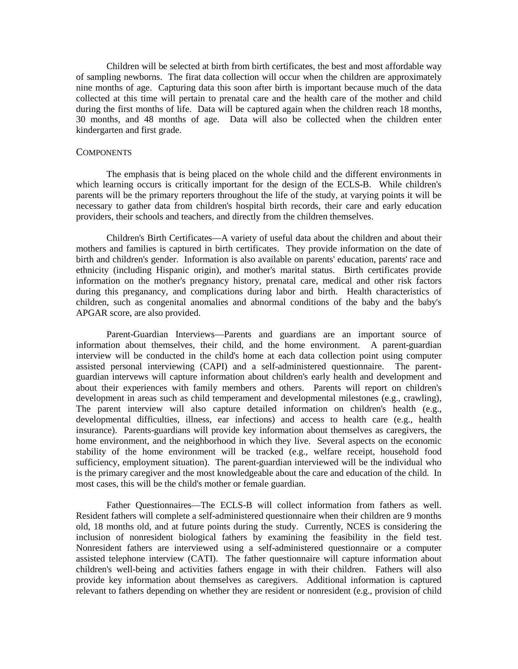Children will be selected at birth from birth certificates, the best and most affordable way of sampling newborns. The firat data collection will occur when the children are approximately nine months of age. Capturing data this soon after birth is important because much of the data collected at this time will pertain to prenatal care and the health care of the mother and child during the first months of life. Data will be captured again when the children reach 18 months, 30 months, and 48 months of age. Data will also be collected when the children enter kindergarten and first grade.

#### **COMPONENTS**

The emphasis that is being placed on the whole child and the different environments in which learning occurs is critically important for the design of the ECLS-B. While children's parents will be the primary reporters throughout the life of the study, at varying points it will be necessary to gather data from children's hospital birth records, their care and early education providers, their schools and teachers, and directly from the children themselves.

Children's Birth Certificates—A variety of useful data about the children and about their mothers and families is captured in birth certificates. They provide information on the date of birth and children's gender. Information is also available on parents' education, parents' race and ethnicity (including Hispanic origin), and mother's marital status. Birth certificates provide information on the mother's pregnancy history, prenatal care, medical and other risk factors during this preganancy, and complications during labor and birth. Health characteristics of children, such as congenital anomalies and abnormal conditions of the baby and the baby's APGAR score, are also provided.

Parent-Guardian Interviews—Parents and guardians are an important source of information about themselves, their child, and the home environment. A parent-guardian interview will be conducted in the child's home at each data collection point using computer assisted personal interviewing (CAPI) and a self-administered questionnaire. The parentguardian intervews will capture information about children's early health and development and about their experiences with family members and others. Parents will report on children's development in areas such as child temperament and developmental milestones (e.g., crawling), The parent interview will also capture detailed information on children's health (e.g., developmental difficulties, illness, ear infections) and access to health care (e.g., health insurance). Parents-guardians will provide key information about themselves as caregivers, the home environment, and the neighborhood in which they live. Several aspects on the economic stability of the home environment will be tracked (e.g., welfare receipt, household food sufficiency, employment situation). The parent-guardian interviewed will be the individual who is the primary caregiver and the most knowledgeable about the care and education of the child. In most cases, this will be the child's mother or female guardian.

Father Questionnaires—The ECLS-B will collect information from fathers as well. Resident fathers will complete a self-administered questionnaire when their children are 9 months old, 18 months old, and at future points during the study. Currently, NCES is considering the inclusion of nonresident biological fathers by examining the feasibility in the field test. Nonresident fathers are interviewed using a self-administered questionnaire or a computer assisted telephone interview (CATI). The father questionnaire will capture information about children's well-being and activities fathers engage in with their children. Fathers will also provide key information about themselves as caregivers. Additional information is captured relevant to fathers depending on whether they are resident or nonresident (e.g., provision of child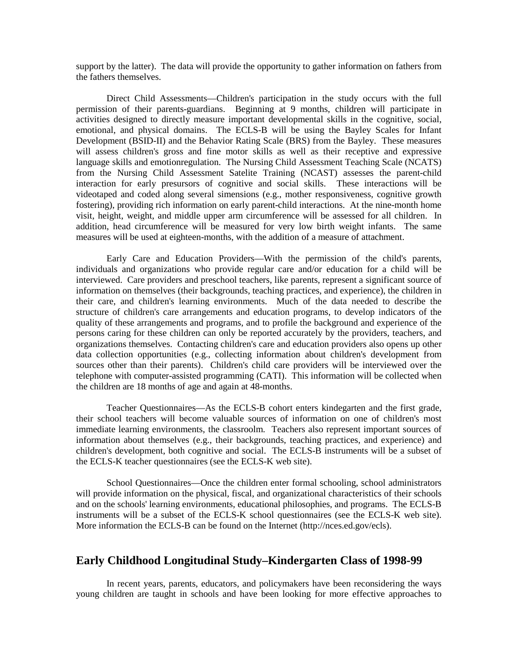support by the latter). The data will provide the opportunity to gather information on fathers from the fathers themselves.

Direct Child Assessments—Children's participation in the study occurs with the full permission of their parents-guardians. Beginning at 9 months, children will participate in activities designed to directly measure important developmental skills in the cognitive, social, emotional, and physical domains. The ECLS-B will be using the Bayley Scales for Infant Development (BSID-II) and the Behavior Rating Scale (BRS) from the Bayley. These measures will assess children's gross and fine motor skills as well as their receptive and expressive language skills and emotionregulation. The Nursing Child Assessment Teaching Scale (NCATS) from the Nursing Child Assessment Satelite Training (NCAST) assesses the parent-child interaction for early presursors of cognitive and social skills. These interactions will be videotaped and coded along several simensions (e.g., mother responsiveness, cognitive growth fostering), providing rich information on early parent-child interactions. At the nine-month home visit, height, weight, and middle upper arm circumference will be assessed for all children. In addition, head circumference will be measured for very low birth weight infants. The same measures will be used at eighteen-months, with the addition of a measure of attachment.

Early Care and Education Providers—With the permission of the child's parents, individuals and organizations who provide regular care and/or education for a child will be interviewed. Care providers and preschool teachers, like parents, represent a significant source of information on themselves (their backgrounds, teaching practices, and experience), the children in their care, and children's learning environments. Much of the data needed to describe the structure of children's care arrangements and education programs, to develop indicators of the quality of these arrangements and programs, and to profile the background and experience of the persons caring for these children can only be reported accurately by the providers, teachers, and organizations themselves. Contacting children's care and education providers also opens up other data collection opportunities (e.g., collecting information about children's development from sources other than their parents). Children's child care providers will be interviewed over the telephone with computer-assisted programming (CATI). This information will be collected when the children are 18 months of age and again at 48-months.

Teacher Questionnaires—As the ECLS-B cohort enters kindegarten and the first grade, their school teachers will become valuable sources of information on one of children's most immediate learning environments, the classroolm. Teachers also represent important sources of information about themselves (e.g., their backgrounds, teaching practices, and experience) and children's development, both cognitive and social. The ECLS-B instruments will be a subset of the ECLS-K teacher questionnaires (see the ECLS-K web site).

School Questionnaires—Once the children enter formal schooling, school administrators will provide information on the physical, fiscal, and organizational characteristics of their schools and on the schools' learning environments, educational philosophies, and programs. The ECLS-B instruments will be a subset of the ECLS-K school questionnaires (see the ECLS-K web site). More information the ECLS-B can be found on the Internet (http://nces.ed.gov/ecls).

## **Early Childhood Longitudinal Study–Kindergarten Class of 1998-99**

In recent years, parents, educators, and policymakers have been reconsidering the ways young children are taught in schools and have been looking for more effective approaches to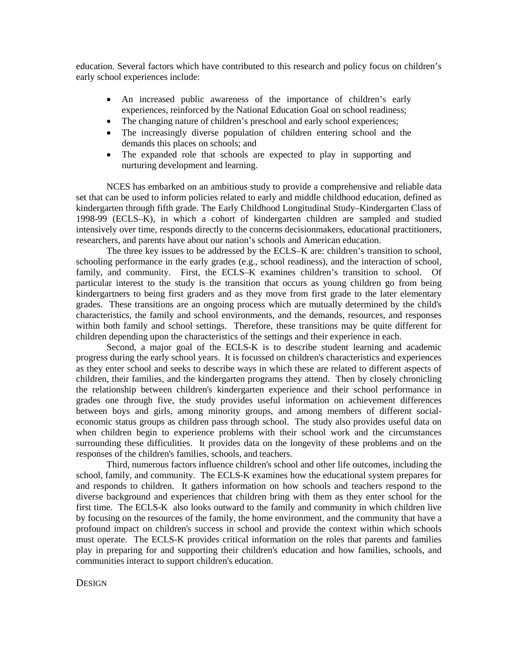education. Several factors which have contributed to this research and policy focus on children's early school experiences include:

- An increased public awareness of the importance of children's early experiences, reinforced by the National Education Goal on school readiness;
- The changing nature of children's preschool and early school experiences;
- The increasingly diverse population of children entering school and the demands this places on schools; and
- The expanded role that schools are expected to play in supporting and nurturing development and learning.

NCES has embarked on an ambitious study to provide a comprehensive and reliable data set that can be used to inform policies related to early and middle childhood education, defined as kindergarten through fifth grade. The Early Childhood Longitudinal Study–Kindergarten Class of 1998-99 (ECLS–K), in which a cohort of kindergarten children are sampled and studied intensively over time, responds directly to the concerns decisionmakers, educational practitioners, researchers, and parents have about our nation's schools and American education.

The three key issues to be addressed by the ECLS–K are: children's transition to school, schooling performance in the early grades (e.g., school readiness), and the interaction of school, family, and community. First, the ECLS–K examines children's transition to school. Of particular interest to the study is the transition that occurs as young children go from being kindergartners to being first graders and as they move from first grade to the later elementary grades. These transitions are an ongoing process which are mutually determined by the child's characteristics, the family and school environments, and the demands, resources, and responses within both family and school settings. Therefore, these transitions may be quite different for children depending upon the characteristics of the settings and their experience in each.

Second, a major goal of the ECLS-K is to describe student learning and academic progress during the early school years. It is focussed on children's characteristics and experiences as they enter school and seeks to describe ways in which these are related to different aspects of children, their families, and the kindergarten programs they attend. Then by closely chronicling the relationship between children's kindergarten experience and their school performance in grades one through five, the study provides useful information on achievement differences between boys and girls, among minority groups, and among members of different socialeconomic status groups as children pass through school. The study also provides useful data on when children begin to experience problems with their school work and the circumstances surrounding these difficulities. It provides data on the longevity of these problems and on the responses of the children's families, schools, and teachers.

Third, numerous factors influence children's school and other life outcomes, including the school, family, and community. The ECLS-K examines how the educational system prepares for and responds to children. It gathers information on how schools and teachers respond to the diverse background and experiences that children bring with them as they enter school for the first time. The ECLS-K also looks outward to the family and community in which children live by focusing on the resources of the family, the home environment, and the community that have a profound impact on children's success in school and provide the context within which schools must operate. The ECLS-K provides critical information on the roles that parents and families play in preparing for and supporting their children's education and how families, schools, and communities interact to support children's education.

### **DESIGN**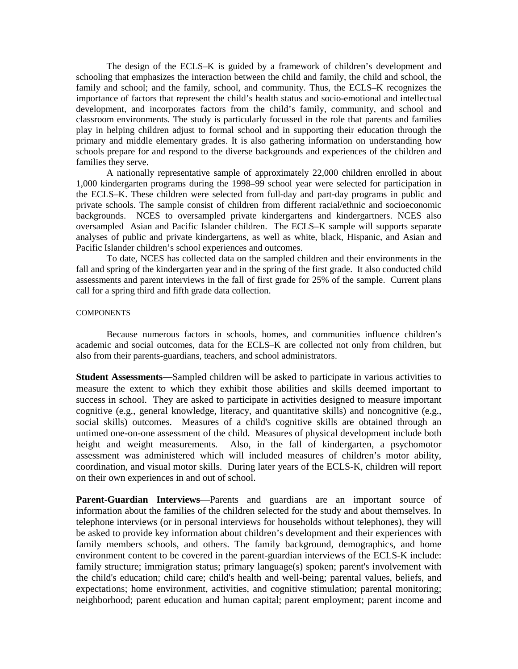The design of the ECLS–K is guided by a framework of children's development and schooling that emphasizes the interaction between the child and family, the child and school, the family and school; and the family, school, and community. Thus, the ECLS–K recognizes the importance of factors that represent the child's health status and socio-emotional and intellectual development, and incorporates factors from the child's family, community, and school and classroom environments. The study is particularly focussed in the role that parents and families play in helping children adjust to formal school and in supporting their education through the primary and middle elementary grades. It is also gathering information on understanding how schools prepare for and respond to the diverse backgrounds and experiences of the children and families they serve.

A nationally representative sample of approximately 22,000 children enrolled in about 1,000 kindergarten programs during the 1998–99 school year were selected for participation in the ECLS–K. These children were selected from full-day and part-day programs in public and private schools. The sample consist of children from different racial/ethnic and socioeconomic backgrounds. NCES to oversampled private kindergartens and kindergartners. NCES also oversampled Asian and Pacific Islander children. The ECLS–K sample will supports separate analyses of public and private kindergartens, as well as white, black, Hispanic, and Asian and Pacific Islander children's school experiences and outcomes.

To date, NCES has collected data on the sampled children and their environments in the fall and spring of the kindergarten year and in the spring of the first grade. It also conducted child assessments and parent interviews in the fall of first grade for 25% of the sample. Current plans call for a spring third and fifth grade data collection.

#### **COMPONENTS**

Because numerous factors in schools, homes, and communities influence children's academic and social outcomes, data for the ECLS–K are collected not only from children, but also from their parents-guardians, teachers, and school administrators.

**Student Assessments—**Sampled children will be asked to participate in various activities to measure the extent to which they exhibit those abilities and skills deemed important to success in school. They are asked to participate in activities designed to measure important cognitive (e.g., general knowledge, literacy, and quantitative skills) and noncognitive (e.g., social skills) outcomes. Measures of a child's cognitive skills are obtained through an untimed one-on-one assessment of the child. Measures of physical development include both height and weight measurements. Also, in the fall of kindergarten, a psychomotor assessment was administered which will included measures of children's motor ability, coordination, and visual motor skills. During later years of the ECLS-K, children will report on their own experiences in and out of school.

**Parent-Guardian Interviews**—Parents and guardians are an important source of information about the families of the children selected for the study and about themselves. In telephone interviews (or in personal interviews for households without telephones), they will be asked to provide key information about children's development and their experiences with family members schools, and others. The family background, demographics, and home environment content to be covered in the parent-guardian interviews of the ECLS-K include: family structure; immigration status; primary language(s) spoken; parent's involvement with the child's education; child care; child's health and well-being; parental values, beliefs, and expectations; home environment, activities, and cognitive stimulation; parental monitoring; neighborhood; parent education and human capital; parent employment; parent income and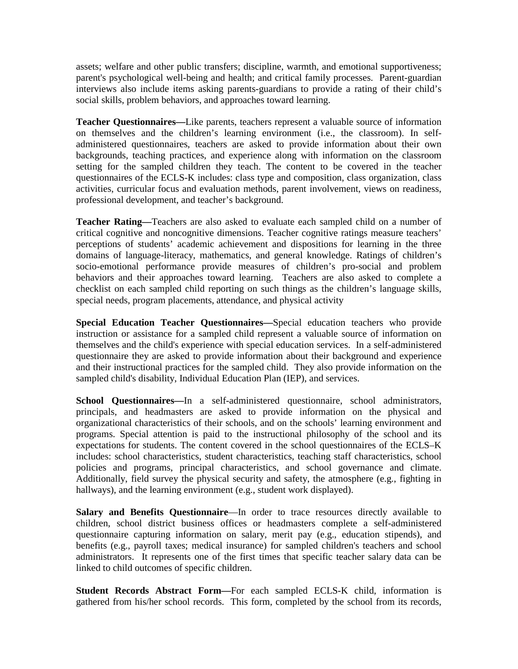assets; welfare and other public transfers; discipline, warmth, and emotional supportiveness; parent's psychological well-being and health; and critical family processes. Parent-guardian interviews also include items asking parents-guardians to provide a rating of their child's social skills, problem behaviors, and approaches toward learning.

**Teacher Questionnaires—**Like parents, teachers represent a valuable source of information on themselves and the children's learning environment (i.e., the classroom). In selfadministered questionnaires, teachers are asked to provide information about their own backgrounds, teaching practices, and experience along with information on the classroom setting for the sampled children they teach. The content to be covered in the teacher questionnaires of the ECLS-K includes: class type and composition, class organization, class activities, curricular focus and evaluation methods, parent involvement, views on readiness, professional development, and teacher's background.

**Teacher Rating—**Teachers are also asked to evaluate each sampled child on a number of critical cognitive and noncognitive dimensions. Teacher cognitive ratings measure teachers' perceptions of students' academic achievement and dispositions for learning in the three domains of language-literacy, mathematics, and general knowledge. Ratings of children's socio-emotional performance provide measures of children's pro-social and problem behaviors and their approaches toward learning. Teachers are also asked to complete a checklist on each sampled child reporting on such things as the children's language skills, special needs, program placements, attendance, and physical activity

**Special Education Teacher Questionnaires—**Special education teachers who provide instruction or assistance for a sampled child represent a valuable source of information on themselves and the child's experience with special education services. In a self-administered questionnaire they are asked to provide information about their background and experience and their instructional practices for the sampled child. They also provide information on the sampled child's disability, Individual Education Plan (IEP), and services.

**School Questionnaires—**In a self-administered questionnaire, school administrators, principals, and headmasters are asked to provide information on the physical and organizational characteristics of their schools, and on the schools' learning environment and programs. Special attention is paid to the instructional philosophy of the school and its expectations for students. The content covered in the school questionnaires of the ECLS–K includes: school characteristics, student characteristics, teaching staff characteristics, school policies and programs, principal characteristics, and school governance and climate. Additionally, field survey the physical security and safety, the atmosphere (e.g., fighting in hallways), and the learning environment (e.g., student work displayed).

**Salary and Benefits Questionnaire**—In order to trace resources directly available to children, school district business offices or headmasters complete a self-administered questionnaire capturing information on salary, merit pay (e.g., education stipends), and benefits (e.g., payroll taxes; medical insurance) for sampled children's teachers and school administrators. It represents one of the first times that specific teacher salary data can be linked to child outcomes of specific children.

**Student Records Abstract Form—**For each sampled ECLS-K child, information is gathered from his/her school records. This form, completed by the school from its records,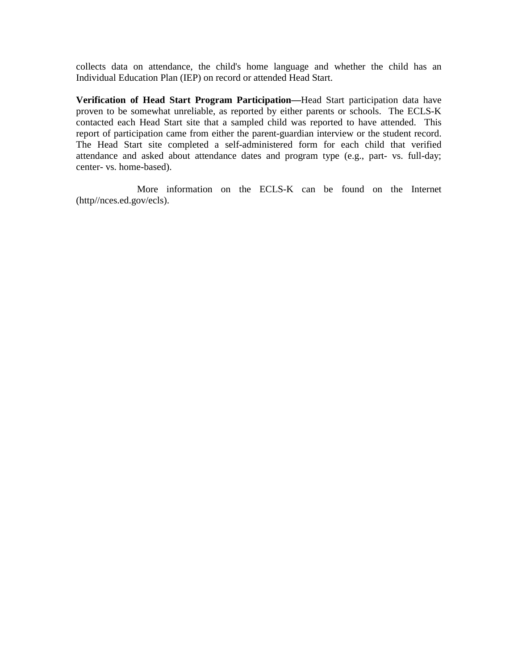collects data on attendance, the child's home language and whether the child has an Individual Education Plan (IEP) on record or attended Head Start.

**Verification of Head Start Program Participation—**Head Start participation data have proven to be somewhat unreliable, as reported by either parents or schools. The ECLS-K contacted each Head Start site that a sampled child was reported to have attended. This report of participation came from either the parent-guardian interview or the student record. The Head Start site completed a self-administered form for each child that verified attendance and asked about attendance dates and program type (e.g., part- vs. full-day; center- vs. home-based).

More information on the ECLS-K can be found on the Internet (http//nces.ed.gov/ecls).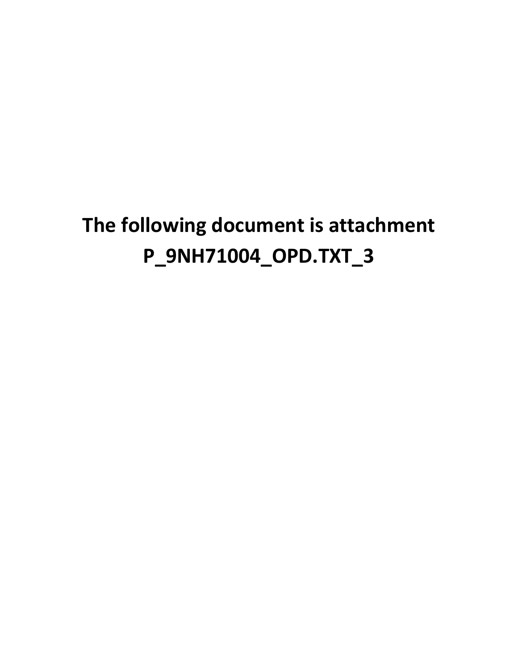# **The following document is attachment P\_9NH71004\_OPD.TXT\_3**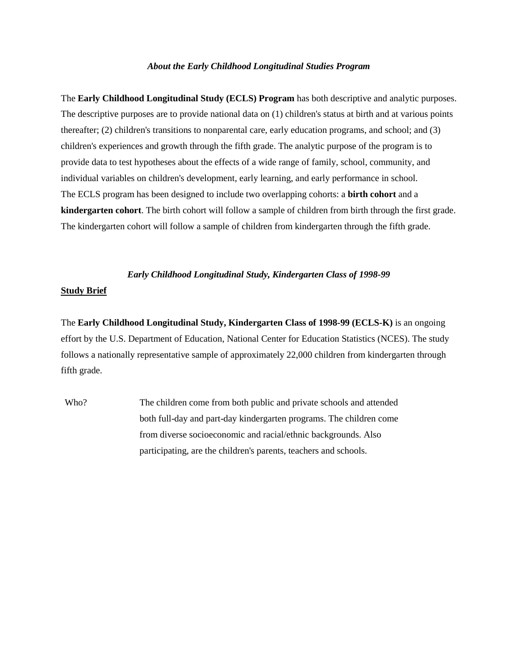#### *About the Early Childhood Longitudinal Studies Program*

The **Early Childhood Longitudinal Study (ECLS) Program** has both descriptive and analytic purposes. The descriptive purposes are to provide national data on (1) children's status at birth and at various points thereafter; (2) children's transitions to nonparental care, early education programs, and school; and (3) children's experiences and growth through the fifth grade. The analytic purpose of the program is to provide data to test hypotheses about the effects of a wide range of family, school, community, and individual variables on children's development, early learning, and early performance in school. The ECLS program has been designed to include two overlapping cohorts: a **birth cohort** and a **kindergarten cohort**. The birth cohort will follow a sample of children from birth through the first grade. The kindergarten cohort will follow a sample of children from kindergarten through the fifth grade.

#### *Early Childhood Longitudinal Study, Kindergarten Class of 1998-99*

#### **Study Brief**

The **Early Childhood Longitudinal Study, Kindergarten Class of 1998-99 (ECLS-K)** is an ongoing effort by the U.S. Department of Education, National Center for Education Statistics (NCES). The study follows a nationally representative sample of approximately 22,000 children from kindergarten through fifth grade.

Who? The children come from both public and private schools and attended both full-day and part-day kindergarten programs. The children come from diverse socioeconomic and racial/ethnic backgrounds. Also participating, are the children's parents, teachers and schools.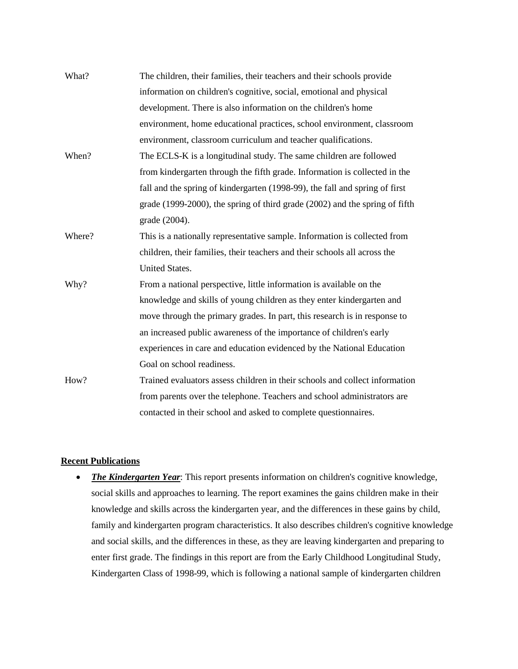| What?  | The children, their families, their teachers and their schools provide      |
|--------|-----------------------------------------------------------------------------|
|        | information on children's cognitive, social, emotional and physical         |
|        | development. There is also information on the children's home               |
|        | environment, home educational practices, school environment, classroom      |
|        | environment, classroom curriculum and teacher qualifications.               |
| When?  | The ECLS-K is a longitudinal study. The same children are followed          |
|        | from kindergarten through the fifth grade. Information is collected in the  |
|        | fall and the spring of kindergarten (1998-99), the fall and spring of first |
|        | grade (1999-2000), the spring of third grade (2002) and the spring of fifth |
|        | grade (2004).                                                               |
| Where? | This is a nationally representative sample. Information is collected from   |
|        | children, their families, their teachers and their schools all across the   |
|        | <b>United States.</b>                                                       |
| Why?   | From a national perspective, little information is available on the         |
|        | knowledge and skills of young children as they enter kindergarten and       |
|        | move through the primary grades. In part, this research is in response to   |
|        | an increased public awareness of the importance of children's early         |
|        | experiences in care and education evidenced by the National Education       |
|        | Goal on school readiness.                                                   |
| How?   | Trained evaluators assess children in their schools and collect information |
|        | from parents over the telephone. Teachers and school administrators are     |
|        | contacted in their school and asked to complete questionnaires.             |

## **Recent Publications**

• *The Kindergarten Year*: This report presents information on children's cognitive knowledge, social skills and approaches to learning. The report examines the gains children make in their knowledge and skills across the kindergarten year, and the differences in these gains by child, family and kindergarten program characteristics. It also describes children's cognitive knowledge and social skills, and the differences in these, as they are leaving kindergarten and preparing to enter first grade. The findings in this report are from the Early Childhood Longitudinal Study, Kindergarten Class of 1998-99, which is following a national sample of kindergarten children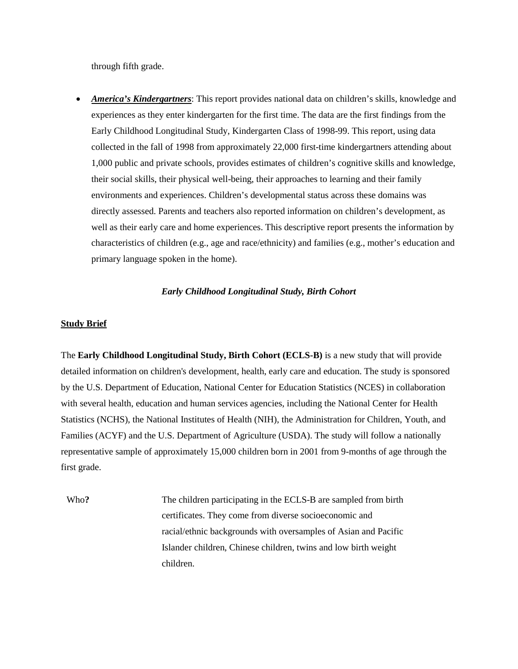through fifth grade.

• *America's Kindergartners*: This report provides national data on children's skills, knowledge and experiences as they enter kindergarten for the first time. The data are the first findings from the Early Childhood Longitudinal Study, Kindergarten Class of 1998-99. This report, using data collected in the fall of 1998 from approximately 22,000 first-time kindergartners attending about 1,000 public and private schools, provides estimates of children's cognitive skills and knowledge, their social skills, their physical well-being, their approaches to learning and their family environments and experiences. Children's developmental status across these domains was directly assessed. Parents and teachers also reported information on children's development, as well as their early care and home experiences. This descriptive report presents the information by characteristics of children (e.g., age and race/ethnicity) and families (e.g., mother's education and primary language spoken in the home).

### *Early Childhood Longitudinal Study, Birth Cohort*

#### **Study Brief**

The **Early Childhood Longitudinal Study, Birth Cohort (ECLS-B)** is a new study that will provide detailed information on children's development, health, early care and education. The study is sponsored by the U.S. Department of Education, National Center for Education Statistics (NCES) in collaboration with several health, education and human services agencies, including the National Center for Health Statistics (NCHS), the National Institutes of Health (NIH), the Administration for Children, Youth, and Families (ACYF) and the U.S. Department of Agriculture (USDA). The study will follow a nationally representative sample of approximately 15,000 children born in 2001 from 9-months of age through the first grade.

Who? The children participating in the ECLS-B are sampled from birth certificates. They come from diverse socioeconomic and racial/ethnic backgrounds with oversamples of Asian and Pacific Islander children, Chinese children, twins and low birth weight children.